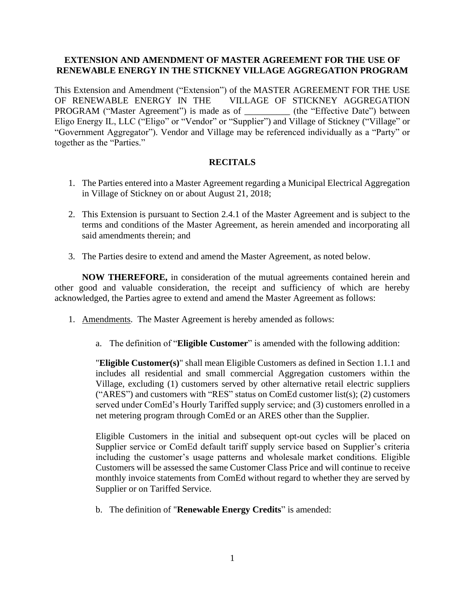## **EXTENSION AND AMENDMENT OF MASTER AGREEMENT FOR THE USE OF RENEWABLE ENERGY IN THE STICKNEY VILLAGE AGGREGATION PROGRAM**

This Extension and Amendment ("Extension") of the MASTER AGREEMENT FOR THE USE OF RENEWABLE ENERGY IN THE VILLAGE OF STICKNEY AGGREGATION PROGRAM ("Master Agreement") is made as of \_\_\_\_\_\_\_\_\_\_ (the "Effective Date") between Eligo Energy IL, LLC ("Eligo" or "Vendor" or "Supplier") and Village of Stickney ("Village" or "Government Aggregator"). Vendor and Village may be referenced individually as a "Party" or together as the "Parties."

## **RECITALS**

- 1. The Parties entered into a Master Agreement regarding a Municipal Electrical Aggregation in Village of Stickney on or about August 21, 2018;
- 2. This Extension is pursuant to Section 2.4.1 of the Master Agreement and is subject to the terms and conditions of the Master Agreement, as herein amended and incorporating all said amendments therein; and
- 3. The Parties desire to extend and amend the Master Agreement, as noted below.

**NOW THEREFORE,** in consideration of the mutual agreements contained herein and other good and valuable consideration, the receipt and sufficiency of which are hereby acknowledged, the Parties agree to extend and amend the Master Agreement as follows:

- 1. Amendments. The Master Agreement is hereby amended as follows:
	- a. The definition of "**Eligible Customer**" is amended with the following addition:

"**Eligible Customer(s)**" shall mean Eligible Customers as defined in Section 1.1.1 and includes all residential and small commercial Aggregation customers within the Village, excluding (1) customers served by other alternative retail electric suppliers ("ARES") and customers with "RES" status on ComEd customer list(s); (2) customers served under ComEd's Hourly Tariffed supply service; and (3) customers enrolled in a net metering program through ComEd or an ARES other than the Supplier.

Eligible Customers in the initial and subsequent opt-out cycles will be placed on Supplier service or ComEd default tariff supply service based on Supplier's criteria including the customer's usage patterns and wholesale market conditions. Eligible Customers will be assessed the same Customer Class Price and will continue to receive monthly invoice statements from ComEd without regard to whether they are served by Supplier or on Tariffed Service.

b. The definition of "**Renewable Energy Credits**" is amended: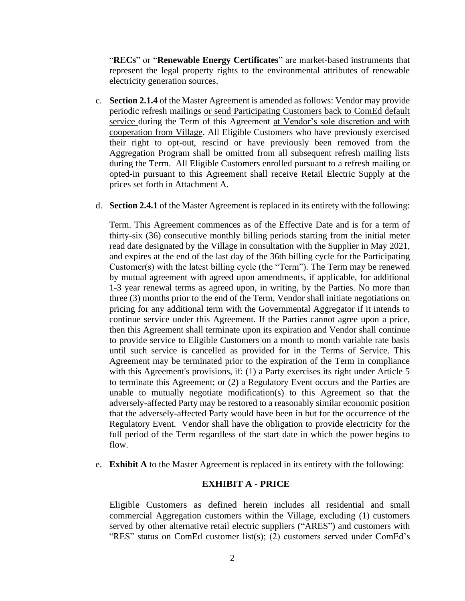"**RECs**" or "**Renewable Energy Certificates**" are market-based instruments that represent the legal property rights to the environmental attributes of renewable electricity generation sources.

- c. **Section 2.1.4** of the Master Agreement is amended as follows: Vendor may provide periodic refresh mailings or send Participating Customers back to ComEd default service during the Term of this Agreement at Vendor's sole discretion and with cooperation from Village. All Eligible Customers who have previously exercised their right to opt-out, rescind or have previously been removed from the Aggregation Program shall be omitted from all subsequent refresh mailing lists during the Term. All Eligible Customers enrolled pursuant to a refresh mailing or opted-in pursuant to this Agreement shall receive Retail Electric Supply at the prices set forth in Attachment A.
- d. **Section 2.4.1** of the Master Agreement is replaced in its entirety with the following:

Term. This Agreement commences as of the Effective Date and is for a term of thirty-six (36) consecutive monthly billing periods starting from the initial meter read date designated by the Village in consultation with the Supplier in May 2021, and expires at the end of the last day of the 36th billing cycle for the Participating Customer(s) with the latest billing cycle (the "Term"). The Term may be renewed by mutual agreement with agreed upon amendments, if applicable, for additional 1-3 year renewal terms as agreed upon, in writing, by the Parties. No more than three (3) months prior to the end of the Term, Vendor shall initiate negotiations on pricing for any additional term with the Governmental Aggregator if it intends to continue service under this Agreement. If the Parties cannot agree upon a price, then this Agreement shall terminate upon its expiration and Vendor shall continue to provide service to Eligible Customers on a month to month variable rate basis until such service is cancelled as provided for in the Terms of Service. This Agreement may be terminated prior to the expiration of the Term in compliance with this Agreement's provisions, if: (1) a Party exercises its right under Article 5 to terminate this Agreement; or (2) a Regulatory Event occurs and the Parties are unable to mutually negotiate modification(s) to this Agreement so that the adversely-affected Party may be restored to a reasonably similar economic position that the adversely-affected Party would have been in but for the occurrence of the Regulatory Event. Vendor shall have the obligation to provide electricity for the full period of the Term regardless of the start date in which the power begins to flow.

e. **Exhibit A** to the Master Agreement is replaced in its entirety with the following:

## **EXHIBIT A - PRICE**

Eligible Customers as defined herein includes all residential and small commercial Aggregation customers within the Village, excluding (1) customers served by other alternative retail electric suppliers ("ARES") and customers with "RES" status on ComEd customer list(s); (2) customers served under ComEd's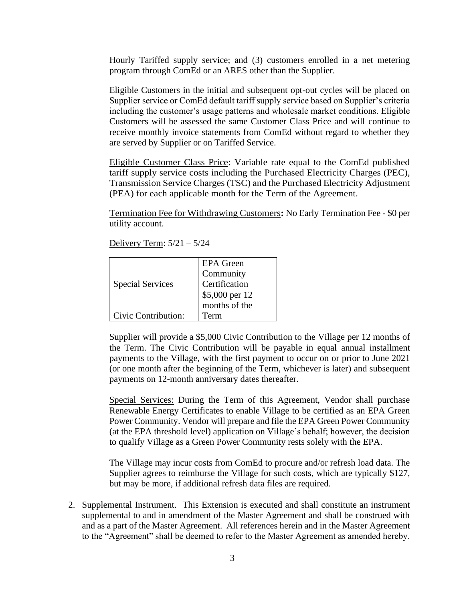Hourly Tariffed supply service; and (3) customers enrolled in a net metering program through ComEd or an ARES other than the Supplier.

Eligible Customers in the initial and subsequent opt-out cycles will be placed on Supplier service or ComEd default tariff supply service based on Supplier's criteria including the customer's usage patterns and wholesale market conditions. Eligible Customers will be assessed the same Customer Class Price and will continue to receive monthly invoice statements from ComEd without regard to whether they are served by Supplier or on Tariffed Service.

Eligible Customer Class Price: Variable rate equal to the ComEd published tariff supply service costs including the Purchased Electricity Charges (PEC), Transmission Service Charges (TSC) and the Purchased Electricity Adjustment (PEA) for each applicable month for the Term of the Agreement.

Termination Fee for Withdrawing Customers**:** No Early Termination Fee - \$0 per utility account.

|                         | <b>EPA</b> Green |
|-------------------------|------------------|
|                         | Community        |
| <b>Special Services</b> | Certification    |
|                         | \$5,000 per 12   |
|                         | months of the    |
| Civic Contribution:     | Term             |

Supplier will provide a \$5,000 Civic Contribution to the Village per 12 months of the Term. The Civic Contribution will be payable in equal annual installment payments to the Village, with the first payment to occur on or prior to June 2021 (or one month after the beginning of the Term, whichever is later) and subsequent payments on 12-month anniversary dates thereafter.

Special Services: During the Term of this Agreement, Vendor shall purchase Renewable Energy Certificates to enable Village to be certified as an EPA Green Power Community. Vendor will prepare and file the EPA Green Power Community (at the EPA threshold level) application on Village's behalf; however, the decision to qualify Village as a Green Power Community rests solely with the EPA.

The Village may incur costs from ComEd to procure and/or refresh load data. The Supplier agrees to reimburse the Village for such costs, which are typically \$127, but may be more, if additional refresh data files are required.

2. Supplemental Instrument. This Extension is executed and shall constitute an instrument supplemental to and in amendment of the Master Agreement and shall be construed with and as a part of the Master Agreement. All references herein and in the Master Agreement to the "Agreement" shall be deemed to refer to the Master Agreement as amended hereby.